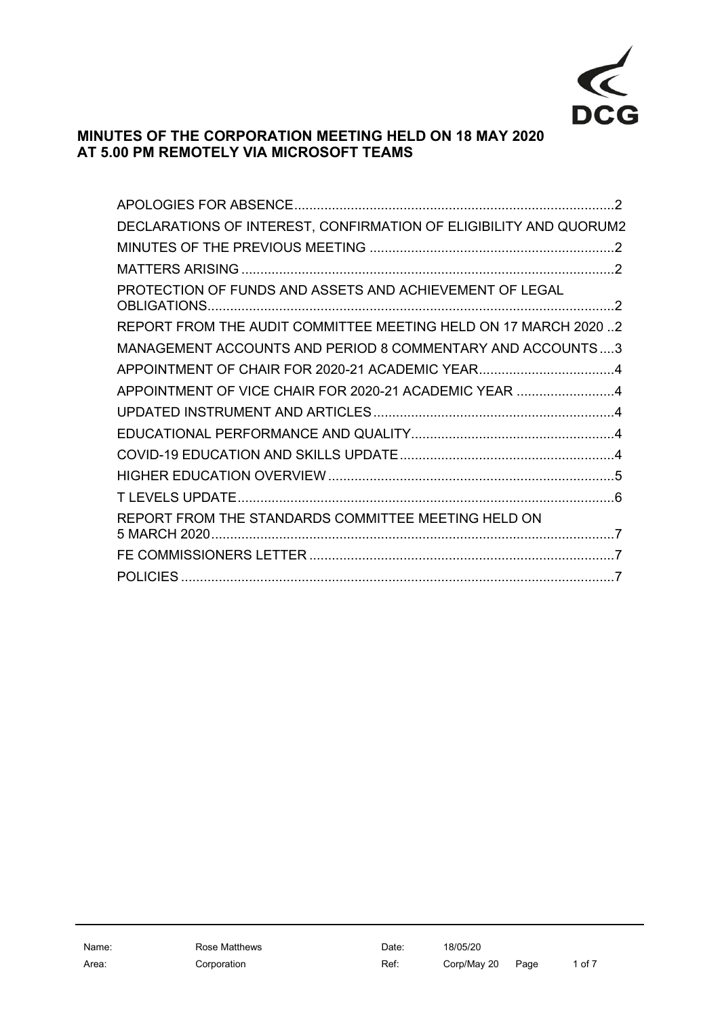

# **MINUTES OF THE CORPORATION MEETING HELD ON 18 MAY 2020 AT 5.00 PM REMOTELY VIA MICROSOFT TEAMS**

| DECLARATIONS OF INTEREST, CONFIRMATION OF ELIGIBILITY AND QUORUM2 |  |
|-------------------------------------------------------------------|--|
|                                                                   |  |
|                                                                   |  |
| PROTECTION OF FUNDS AND ASSETS AND ACHIEVEMENT OF LEGAL           |  |
| REPORT FROM THE AUDIT COMMITTEE MEETING HELD ON 17 MARCH 20202    |  |
| MANAGEMENT ACCOUNTS AND PERIOD 8 COMMENTARY AND ACCOUNTS3         |  |
|                                                                   |  |
| APPOINTMENT OF VICE CHAIR FOR 2020-21 ACADEMIC YEAR 4             |  |
|                                                                   |  |
|                                                                   |  |
|                                                                   |  |
|                                                                   |  |
|                                                                   |  |
| REPORT FROM THE STANDARDS COMMITTEE MEETING HELD ON               |  |
|                                                                   |  |
|                                                                   |  |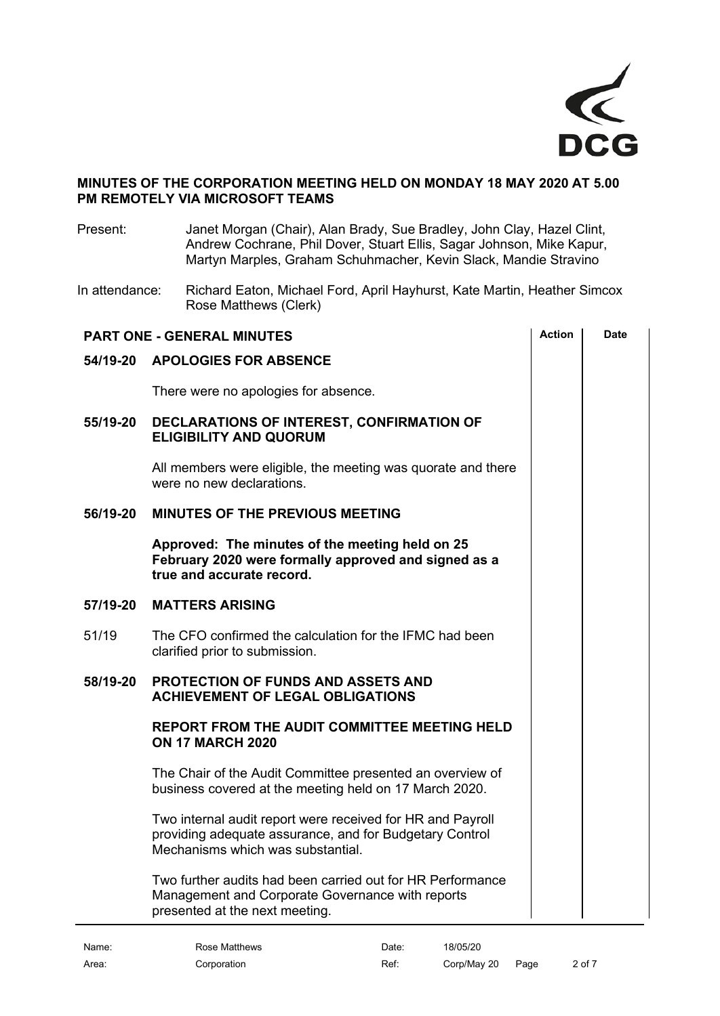

### **MINUTES OF THE CORPORATION MEETING HELD ON MONDAY 18 MAY 2020 AT 5.00 PM REMOTELY VIA MICROSOFT TEAMS**

Present: Janet Morgan (Chair), Alan Brady, Sue Bradley, John Clay, Hazel Clint, Andrew Cochrane, Phil Dover, Stuart Ellis, Sagar Johnson, Mike Kapur, Martyn Marples, Graham Schuhmacher, Kevin Slack, Mandie Stravino

In attendance: Richard Eaton, Michael Ford, April Hayhurst, Kate Martin, Heather Simcox Rose Matthews (Clerk)

<span id="page-1-5"></span><span id="page-1-4"></span><span id="page-1-3"></span><span id="page-1-2"></span><span id="page-1-1"></span><span id="page-1-0"></span>

| <b>PART ONE - GENERAL MINUTES</b> | <b>Action</b>                                                                                                                                              | <b>Date</b> |  |
|-----------------------------------|------------------------------------------------------------------------------------------------------------------------------------------------------------|-------------|--|
| 54/19-20                          | <b>APOLOGIES FOR ABSENCE</b>                                                                                                                               |             |  |
|                                   | There were no apologies for absence.                                                                                                                       |             |  |
| 55/19-20                          | DECLARATIONS OF INTEREST, CONFIRMATION OF<br><b>ELIGIBILITY AND QUORUM</b>                                                                                 |             |  |
|                                   | All members were eligible, the meeting was quorate and there<br>were no new declarations.                                                                  |             |  |
| 56/19-20                          | MINUTES OF THE PREVIOUS MEETING                                                                                                                            |             |  |
|                                   | Approved: The minutes of the meeting held on 25<br>February 2020 were formally approved and signed as a<br>true and accurate record.                       |             |  |
| 57/19-20                          | <b>MATTERS ARISING</b>                                                                                                                                     |             |  |
| 51/19                             | The CFO confirmed the calculation for the IFMC had been<br>clarified prior to submission.                                                                  |             |  |
| 58/19-20                          | <b>PROTECTION OF FUNDS AND ASSETS AND</b><br><b>ACHIEVEMENT OF LEGAL OBLIGATIONS</b>                                                                       |             |  |
|                                   | <b>REPORT FROM THE AUDIT COMMITTEE MEETING HELD</b><br><b>ON 17 MARCH 2020</b>                                                                             |             |  |
|                                   | The Chair of the Audit Committee presented an overview of<br>business covered at the meeting held on 17 March 2020.                                        |             |  |
|                                   | Two internal audit report were received for HR and Payroll<br>providing adequate assurance, and for Budgetary Control<br>Mechanisms which was substantial. |             |  |
|                                   | Two further audits had been carried out for HR Performance<br>Management and Corporate Governance with reports<br>presented at the next meeting.           |             |  |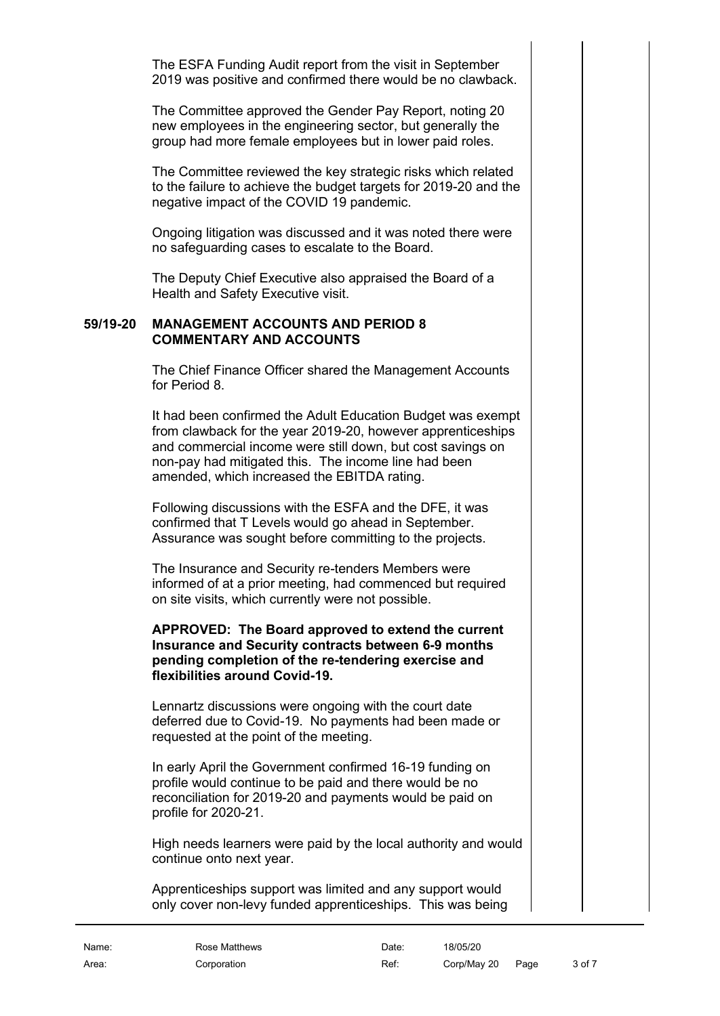The ESFA Funding Audit report from the visit in September 2019 was positive and confirmed there would be no clawback.

The Committee approved the Gender Pay Report, noting 20 new employees in the engineering sector, but generally the group had more female employees but in lower paid roles.

The Committee reviewed the key strategic risks which related to the failure to achieve the budget targets for 2019-20 and the negative impact of the COVID 19 pandemic.

Ongoing litigation was discussed and it was noted there were no safeguarding cases to escalate to the Board.

The Deputy Chief Executive also appraised the Board of a Health and Safety Executive visit.

#### **59/19-20 MANAGEMENT ACCOUNTS AND PERIOD 8 COMMENTARY AND ACCOUNTS**

<span id="page-2-0"></span>The Chief Finance Officer shared the Management Accounts for Period 8.

It had been confirmed the Adult Education Budget was exempt from clawback for the year 2019-20, however apprenticeships and commercial income were still down, but cost savings on non-pay had mitigated this. The income line had been amended, which increased the EBITDA rating.

Following discussions with the ESFA and the DFE, it was confirmed that T Levels would go ahead in September. Assurance was sought before committing to the projects.

The Insurance and Security re-tenders Members were informed of at a prior meeting, had commenced but required on site visits, which currently were not possible.

### **APPROVED: The Board approved to extend the current Insurance and Security contracts between 6-9 months pending completion of the re-tendering exercise and flexibilities around Covid-19.**

Lennartz discussions were ongoing with the court date deferred due to Covid-19. No payments had been made or requested at the point of the meeting.

In early April the Government confirmed 16-19 funding on profile would continue to be paid and there would be no reconciliation for 2019-20 and payments would be paid on profile for 2020-21.

High needs learners were paid by the local authority and would continue onto next year.

Apprenticeships support was limited and any support would only cover non-levy funded apprenticeships. This was being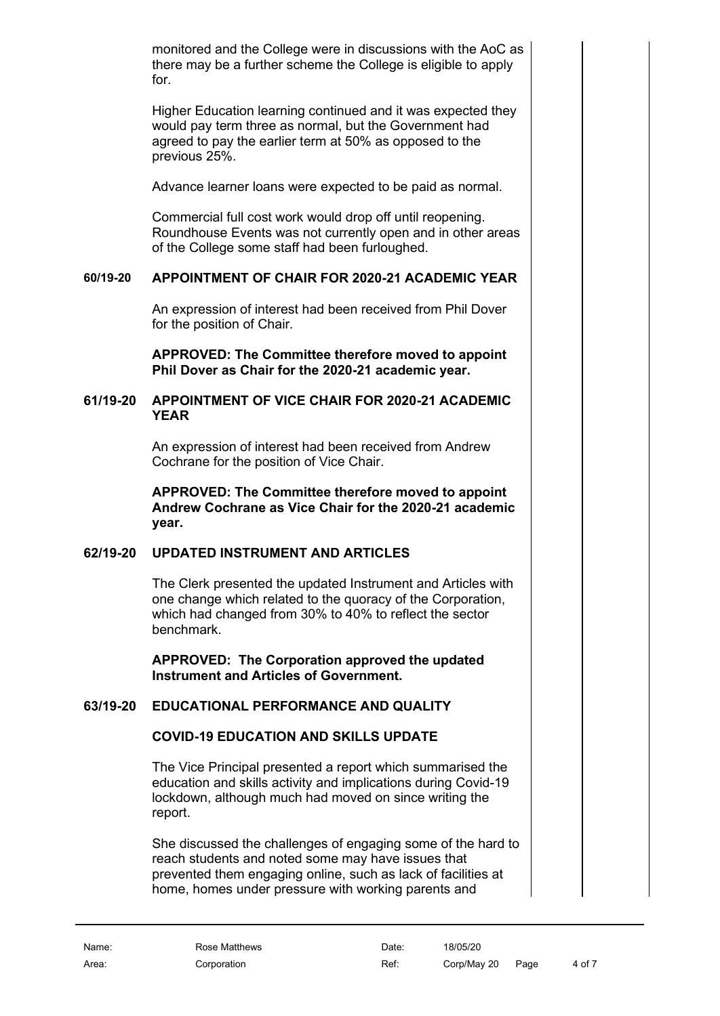monitored and the College were in discussions with the AoC as there may be a further scheme the College is eligible to apply for.

Higher Education learning continued and it was expected they would pay term three as normal, but the Government had agreed to pay the earlier term at 50% as opposed to the previous 25%.

Advance learner loans were expected to be paid as normal.

Commercial full cost work would drop off until reopening. Roundhouse Events was not currently open and in other areas of the College some staff had been furloughed.

# **60/19-20 APPOINTMENT OF CHAIR FOR 2020-21 ACADEMIC YEAR**

<span id="page-3-0"></span>An expression of interest had been received from Phil Dover for the position of Chair.

<span id="page-3-1"></span>**APPROVED: The Committee therefore moved to appoint Phil Dover as Chair for the 2020-21 academic year.**

### **61/19-20 APPOINTMENT OF VICE CHAIR FOR 2020-21 ACADEMIC YEAR**

An expression of interest had been received from Andrew Cochrane for the position of Vice Chair.

**APPROVED: The Committee therefore moved to appoint Andrew Cochrane as Vice Chair for the 2020-21 academic year.**

### **62/19-20 UPDATED INSTRUMENT AND ARTICLES**

<span id="page-3-2"></span>The Clerk presented the updated Instrument and Articles with one change which related to the quoracy of the Corporation, which had changed from 30% to 40% to reflect the sector benchmark.

**APPROVED: The Corporation approved the updated Instrument and Articles of Government.**

# **63/19-20 EDUCATIONAL PERFORMANCE AND QUALITY**

# <span id="page-3-4"></span><span id="page-3-3"></span>**COVID-19 EDUCATION AND SKILLS UPDATE**

The Vice Principal presented a report which summarised the education and skills activity and implications during Covid-19 lockdown, although much had moved on since writing the report.

She discussed the challenges of engaging some of the hard to reach students and noted some may have issues that prevented them engaging online, such as lack of facilities at home, homes under pressure with working parents and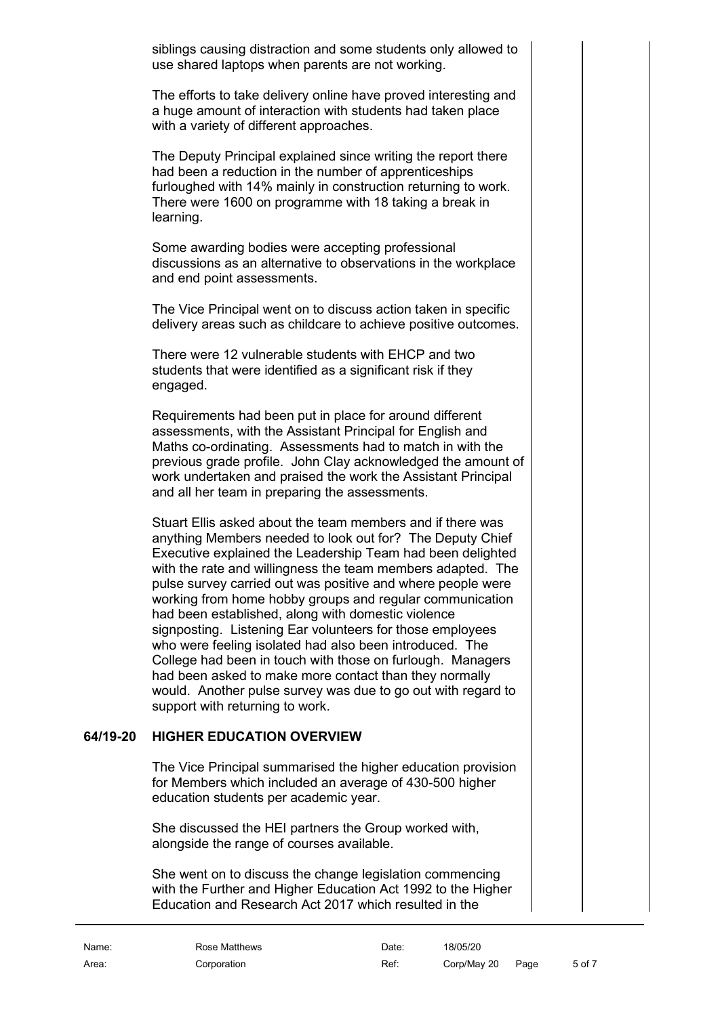siblings causing distraction and some students only allowed to use shared laptops when parents are not working.

The efforts to take delivery online have proved interesting and a huge amount of interaction with students had taken place with a variety of different approaches.

The Deputy Principal explained since writing the report there had been a reduction in the number of apprenticeships furloughed with 14% mainly in construction returning to work. There were 1600 on programme with 18 taking a break in learning.

Some awarding bodies were accepting professional discussions as an alternative to observations in the workplace and end point assessments.

The Vice Principal went on to discuss action taken in specific delivery areas such as childcare to achieve positive outcomes.

There were 12 vulnerable students with EHCP and two students that were identified as a significant risk if they engaged.

Requirements had been put in place for around different assessments, with the Assistant Principal for English and Maths co-ordinating. Assessments had to match in with the previous grade profile. John Clay acknowledged the amount of work undertaken and praised the work the Assistant Principal and all her team in preparing the assessments.

Stuart Ellis asked about the team members and if there was anything Members needed to look out for? The Deputy Chief Executive explained the Leadership Team had been delighted with the rate and willingness the team members adapted. The pulse survey carried out was positive and where people were working from home hobby groups and regular communication had been established, along with domestic violence signposting. Listening Ear volunteers for those employees who were feeling isolated had also been introduced. The College had been in touch with those on furlough. Managers had been asked to make more contact than they normally would. Another pulse survey was due to go out with regard to support with returning to work.

### **64/19-20 HIGHER EDUCATION OVERVIEW**

<span id="page-4-0"></span>The Vice Principal summarised the higher education provision for Members which included an average of 430-500 higher education students per academic year.

She discussed the HEI partners the Group worked with, alongside the range of courses available.

She went on to discuss the change legislation commencing with the Further and Higher Education Act 1992 to the Higher Education and Research Act 2017 which resulted in the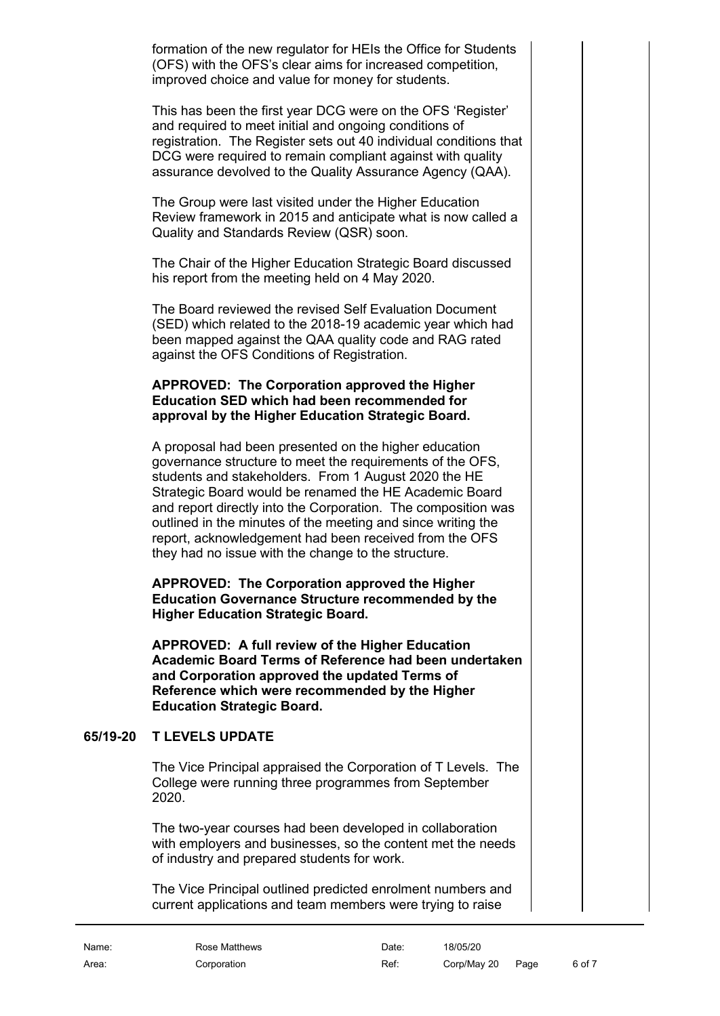formation of the new regulator for HEIs the Office for Students (OFS) with the OFS's clear aims for increased competition, improved choice and value for money for students.

This has been the first year DCG were on the OFS 'Register' and required to meet initial and ongoing conditions of registration. The Register sets out 40 individual conditions that DCG were required to remain compliant against with quality assurance devolved to the Quality Assurance Agency (QAA).

The Group were last visited under the Higher Education Review framework in 2015 and anticipate what is now called a Quality and Standards Review (QSR) soon.

The Chair of the Higher Education Strategic Board discussed his report from the meeting held on 4 May 2020.

The Board reviewed the revised Self Evaluation Document (SED) which related to the 2018-19 academic year which had been mapped against the QAA quality code and RAG rated against the OFS Conditions of Registration.

### **APPROVED: The Corporation approved the Higher Education SED which had been recommended for approval by the Higher Education Strategic Board.**

A proposal had been presented on the higher education governance structure to meet the requirements of the OFS, students and stakeholders. From 1 August 2020 the HE Strategic Board would be renamed the HE Academic Board and report directly into the Corporation. The composition was outlined in the minutes of the meeting and since writing the report, acknowledgement had been received from the OFS they had no issue with the change to the structure.

**APPROVED: The Corporation approved the Higher Education Governance Structure recommended by the Higher Education Strategic Board.**

**APPROVED: A full review of the Higher Education Academic Board Terms of Reference had been undertaken and Corporation approved the updated Terms of Reference which were recommended by the Higher Education Strategic Board.**

### **65/19-20 T LEVELS UPDATE**

<span id="page-5-0"></span>The Vice Principal appraised the Corporation of T Levels. The College were running three programmes from September 2020.

The two-year courses had been developed in collaboration with employers and businesses, so the content met the needs of industry and prepared students for work.

The Vice Principal outlined predicted enrolment numbers and current applications and team members were trying to raise